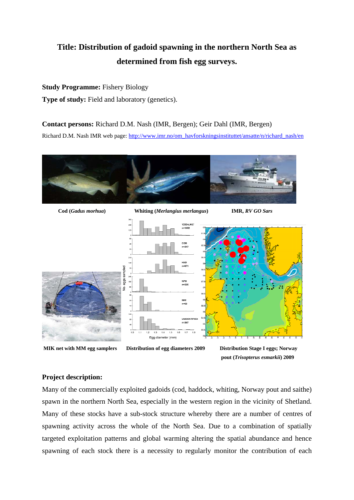# **Title: Distribution of gadoid spawning in the northern North Sea as determined from fish egg surveys.**

### **Study Programme:** Fishery Biology

**Type of study:** Field and laboratory (genetics).

#### **Contact persons:** Richard D.M. Nash (IMR, Bergen); Geir Dahl (IMR, Bergen)

Richard D.M. Nash IMR web page: http://www.imr.no/om\_havforskningsinstituttet/ansatte/n/richard\_nash/en





 **MIK net with MM egg samplers Distribution of egg diameters 2009 Distribution Stage I eggs; Norway** 

 **pout (***Trisopterus esmarkii***) 2009** 

## **Project description:**

Many of the commercially exploited gadoids (cod, haddock, whiting, Norway pout and saithe) spawn in the northern North Sea, especially in the western region in the vicinity of Shetland. Many of these stocks have a sub-stock structure whereby there are a number of centres of spawning activity across the whole of the North Sea. Due to a combination of spatially targeted exploitation patterns and global warming altering the spatial abundance and hence spawning of each stock there is a necessity to regularly monitor the contribution of each